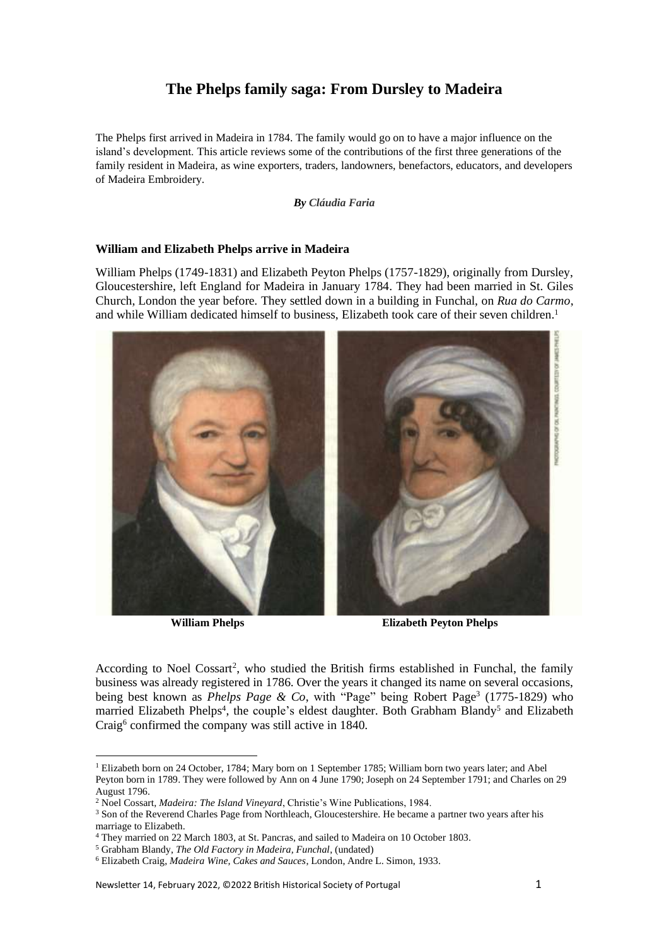# **The Phelps family saga: From Dursley to Madeira**

The Phelps first arrived in Madeira in 1784. The family would go on to have a major influence on the island's development. This article reviews some of the contributions of the first three generations of the family resident in Madeira, as wine exporters, traders, landowners, benefactors, educators, and developers of Madeira Embroidery.

*By Cláudia Faria*

### **William and Elizabeth Phelps arrive in Madeira**

William Phelps (1749-1831) and Elizabeth Peyton Phelps (1757-1829), originally from Dursley, Gloucestershire, left England for Madeira in January 1784. They had been married in St. Giles Church, London the year before. They settled down in a building in Funchal, on *Rua do Carmo*, and while William dedicated himself to business, Elizabeth took care of their seven children.<sup>1</sup>



**William Phelps Elizabeth Peyton Phelps**

According to Noel Cossart<sup>2</sup>, who studied the British firms established in Funchal, the family business was already registered in 1786. Over the years it changed its name on several occasions, being best known as *Phelps Page & Co*, with "Page" being Robert Page<sup>3</sup> (1775-1829) who married Elizabeth Phelps<sup>4</sup>, the couple's eldest daughter. Both Grabham Blandy<sup>5</sup> and Elizabeth Craig<sup>6</sup> confirmed the company was still active in 1840.

<sup>1</sup> Elizabeth born on 24 October, 1784; Mary born on 1 September 1785; William born two years later; and Abel Peyton born in 1789. They were followed by Ann on 4 June 1790; Joseph on 24 September 1791; and Charles on 29 August 1796.

<sup>2</sup> Noel Cossart, *Madeira: The Island Vineyard*, Christie's Wine Publications, 1984.

<sup>&</sup>lt;sup>3</sup> Son of the Reverend Charles Page from Northleach, Gloucestershire. He became a partner two years after his marriage to Elizabeth.

<sup>4</sup> They married on 22 March 1803, at St. Pancras, and sailed to Madeira on 10 October 1803.

<sup>5</sup> Grabham Blandy, *The Old Factory in Madeira, Funchal*, (undated)

<sup>6</sup> Elizabeth Craig, *Madeira Wine, Cakes and Sauces*, London, Andre L. Simon, 1933.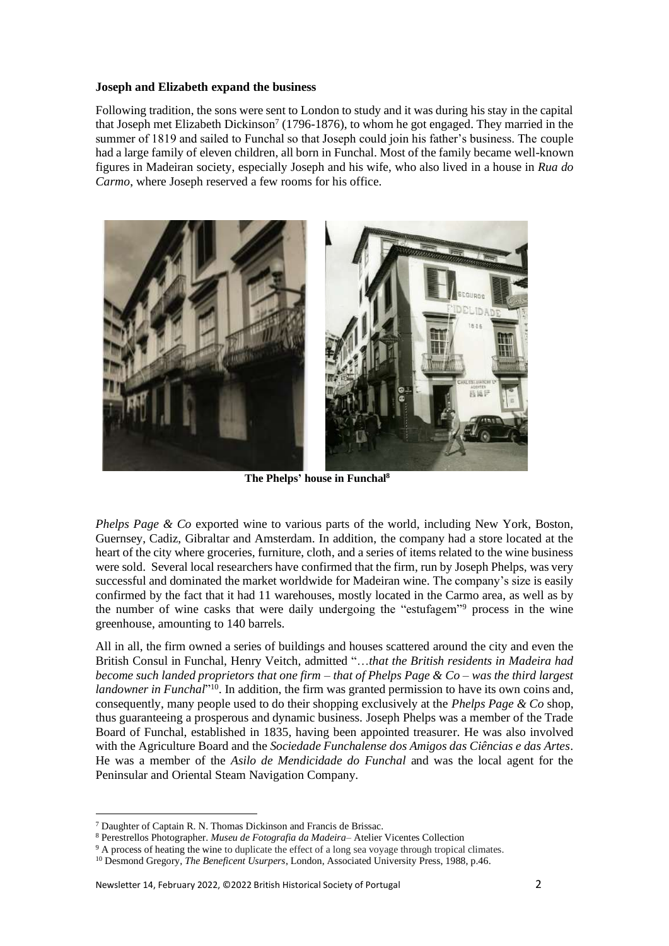#### **Joseph and Elizabeth expand the business**

Following tradition, the sons were sent to London to study and it was during his stay in the capital that Joseph met Elizabeth Dickinson<sup>7</sup> (1796-1876), to whom he got engaged. They married in the summer of 1819 and sailed to Funchal so that Joseph could join his father's business. The couple had a large family of eleven children, all born in Funchal. Most of the family became well-known figures in Madeiran society, especially Joseph and his wife, who also lived in a house in *Rua do Carmo*, where Joseph reserved a few rooms for his office.



 **The Phelps' house in Funchal<sup>8</sup>**

*Phelps Page & Co* exported wine to various parts of the world, including New York, Boston, Guernsey, Cadiz, Gibraltar and Amsterdam. In addition, the company had a store located at the heart of the city where groceries, furniture, cloth, and a series of items related to the wine business were sold. Several local researchers have confirmed that the firm, run by Joseph Phelps, was very successful and dominated the market worldwide for Madeiran wine. The company's size is easily confirmed by the fact that it had 11 warehouses, mostly located in the Carmo area, as well as by the number of wine casks that were daily undergoing the "estufagem"<sup>9</sup> process in the wine greenhouse, amounting to 140 barrels.

All in all, the firm owned a series of buildings and houses scattered around the city and even the British Consul in Funchal, Henry Veitch, admitted "…*that the British residents in Madeira had become such landed proprietors that one firm – that of Phelps Page & Co – was the third largest*  landowner in Funchal<sup>"10</sup>. In addition, the firm was granted permission to have its own coins and, consequently, many people used to do their shopping exclusively at the *Phelps Page & Co* shop, thus guaranteeing a prosperous and dynamic business. Joseph Phelps was a member of the Trade Board of Funchal, established in 1835, having been appointed treasurer. He was also involved with the Agriculture Board and the *Sociedade Funchalense dos Amigos das Ciências e das Artes*. He was a member of the *Asilo de Mendicidade do Funchal* and was the local agent for the Peninsular and Oriental Steam Navigation Company.

<sup>7</sup> Daughter of Captain R. N. Thomas Dickinson and Francis de Brissac.

<sup>8</sup> Perestrellos Photographer. *Museu de Fotografia da Madeira*– Atelier Vicentes Collection

<sup>&</sup>lt;sup>9</sup> A process of heating the wine to duplicate the effect of a long sea voyage through tropical climates.

<sup>10</sup> Desmond Gregory, *The Beneficent Usurpers*, London, Associated University Press, 1988, p.46.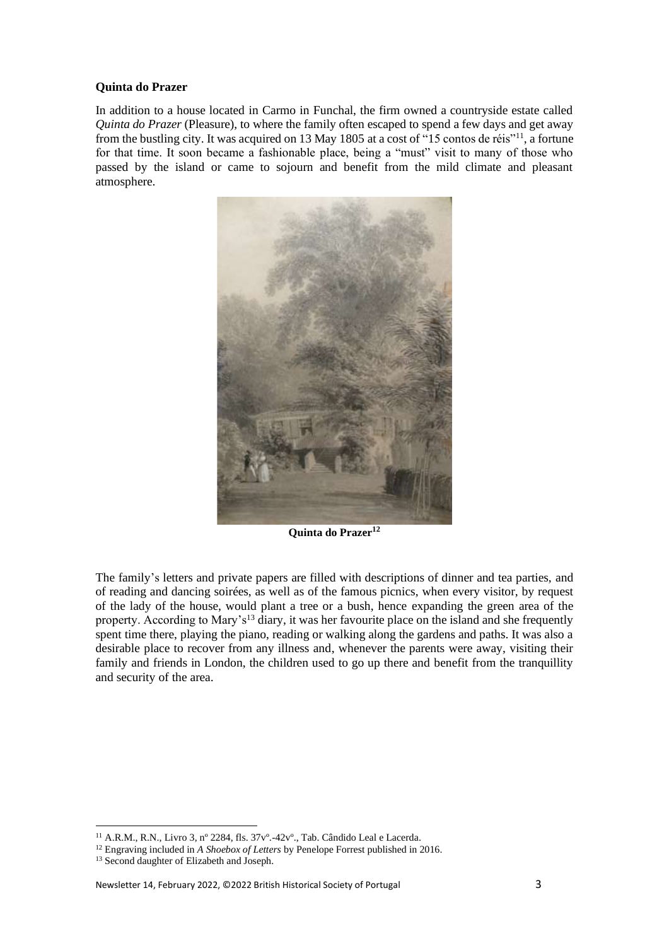#### **Quinta do Prazer**

In addition to a house located in Carmo in Funchal, the firm owned a countryside estate called *Quinta do Prazer* (Pleasure), to where the family often escaped to spend a few days and get away from the bustling city. It was acquired on 13 May 1805 at a cost of "15 contos de réis"<sup>11</sup>, a fortune for that time. It soon became a fashionable place, being a "must" visit to many of those who passed by the island or came to sojourn and benefit from the mild climate and pleasant atmosphere.



**Quinta do Prazer<sup>12</sup>**

The family's letters and private papers are filled with descriptions of dinner and tea parties, and of reading and dancing soirées, as well as of the famous picnics, when every visitor, by request of the lady of the house, would plant a tree or a bush, hence expanding the green area of the property. According to Mary's<sup>13</sup> diary, it was her favourite place on the island and she frequently spent time there, playing the piano, reading or walking along the gardens and paths. It was also a desirable place to recover from any illness and, whenever the parents were away, visiting their family and friends in London, the children used to go up there and benefit from the tranquillity and security of the area.

<sup>11</sup> A.R.M., R.N., Livro 3, nº 2284, fls. 37vº.-42vº., Tab. Cândido Leal e Lacerda.

<sup>12</sup> Engraving included in *A Shoebox of Letters* by Penelope Forrest published in 2016.

<sup>&</sup>lt;sup>13</sup> Second daughter of Elizabeth and Joseph.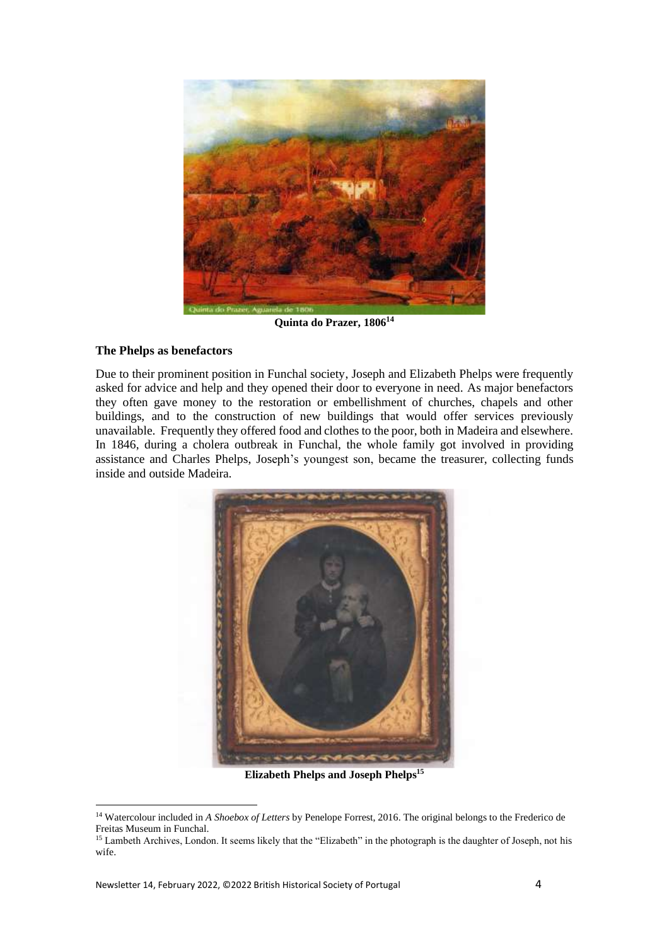

**Quinta do Prazer, 1806<sup>14</sup>**

## **The Phelps as benefactors**

Due to their prominent position in Funchal society, Joseph and Elizabeth Phelps were frequently asked for advice and help and they opened their door to everyone in need. As major benefactors they often gave money to the restoration or embellishment of churches, chapels and other buildings, and to the construction of new buildings that would offer services previously unavailable. Frequently they offered food and clothes to the poor, both in Madeira and elsewhere. In 1846, during a cholera outbreak in Funchal, the whole family got involved in providing assistance and Charles Phelps, Joseph's youngest son, became the treasurer, collecting funds inside and outside Madeira.



**Elizabeth Phelps and Joseph Phelps<sup>15</sup>**

<sup>14</sup> Watercolour included in *A Shoebox of Letters* by Penelope Forrest, 2016. The original belongs to the Frederico de Freitas Museum in Funchal.

<sup>&</sup>lt;sup>15</sup> Lambeth Archives, London. It seems likely that the "Elizabeth" in the photograph is the daughter of Joseph, not his wife.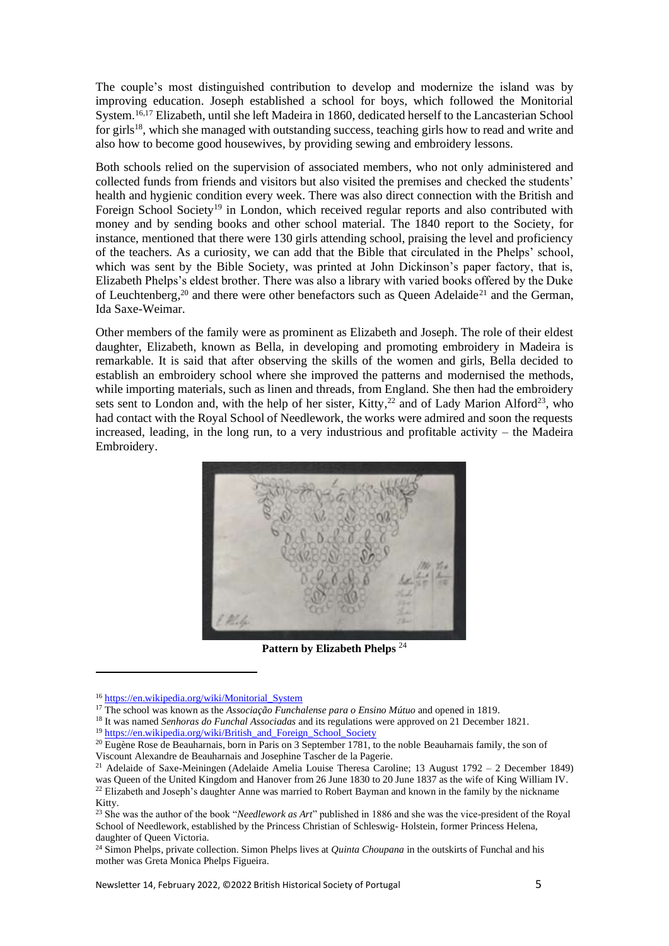The couple's most distinguished contribution to develop and modernize the island was by improving education. Joseph established a school for boys, which followed the Monitorial System.16,17 Elizabeth, until she left Madeira in 1860, dedicated herself to the Lancasterian School for girls<sup>18</sup>, which she managed with outstanding success, teaching girls how to read and write and also how to become good housewives, by providing sewing and embroidery lessons.

Both schools relied on the supervision of associated members, who not only administered and collected funds from friends and visitors but also visited the premises and checked the students' health and hygienic condition every week. There was also direct connection with the British and Foreign School Society<sup>19</sup> in London, which received regular reports and also contributed with money and by sending books and other school material. The 1840 report to the Society, for instance, mentioned that there were 130 girls attending school, praising the level and proficiency of the teachers. As a curiosity, we can add that the Bible that circulated in the Phelps' school, which was sent by the Bible Society, was printed at John Dickinson's paper factory, that is, Elizabeth Phelps's eldest brother. There was also a library with varied books offered by the Duke of Leuchtenberg,<sup>20</sup> and there were other benefactors such as Queen Adelaide<sup>21</sup> and the German, Ida Saxe-Weimar.

Other members of the family were as prominent as Elizabeth and Joseph. The role of their eldest daughter, Elizabeth, known as Bella, in developing and promoting embroidery in Madeira is remarkable. It is said that after observing the skills of the women and girls, Bella decided to establish an embroidery school where she improved the patterns and modernised the methods, while importing materials, such as linen and threads, from England. She then had the embroidery sets sent to London and, with the help of her sister, Kitty,<sup>22</sup> and of Lady Marion Alford<sup>23</sup>, who had contact with the Royal School of Needlework, the works were admired and soon the requests increased, leading, in the long run, to a very industrious and profitable activity – the Madeira Embroidery.



**Pattern by Elizabeth Phelps** <sup>24</sup>

<sup>18</sup> It was named *Senhoras do Funchal Associadas* and its regulations were approved on 21 December 1821.

 $\begin{array}{c} \hline \end{array}$ 

<sup>16</sup> [https://en.wikipedia.org/wiki/Monitorial\\_System](https://en.wikipedia.org/wiki/Monitorial_System)

<sup>17</sup> The school was known as the *Associação Funchalense para o Ensino Mútuo* and opened in 1819.

<sup>&</sup>lt;sup>19</sup> [https://en.wikipedia.org/wiki/British\\_and\\_Foreign\\_School\\_Society](https://en.wikipedia.org/wiki/British_and_Foreign_School_Society)

<sup>&</sup>lt;sup>20</sup> Eugène Rose de [Beauharnais](https://en.wikipedia.org/wiki/Beauharnais), born in Paris on 3 September 1781, to the noble Beauharnais family, the son of Viscount [Alexandre de Beauharnais](https://en.wikipedia.org/wiki/Alexandre_de_Beauharnais) and Josephine Tascher de la Pagerie.

<sup>21</sup> Adelaide of Saxe-Meiningen (Adelaide Amelia Louise Theresa Caroline; 13 August 1792 – 2 December 1849) was [Queen of the United Kingdom](https://en.wikipedia.org/wiki/List_of_British_royal_consorts) and [Hanover](https://en.wikipedia.org/wiki/Kingdom_of_Hanover) from 26 June 1830 to 20 June 1837 as the wife of [King William IV.](https://en.wikipedia.org/wiki/King_William_IV) <sup>22</sup> Elizabeth and Joseph's daughter Anne was married to Robert Bayman and known in the family by the nickname Kitty.

<sup>23</sup> She was the author of the book "*Needlework as Art*" published in 1886 and she was the vice-president of the Royal School of Needlework, established by the Princess Christian of Schleswig- Holstein, former Princess Helena, daughter of Queen Victoria.

<sup>24</sup> Simon Phelps, private collection. Simon Phelps lives at *Quinta Choupana* in the outskirts of Funchal and his mother was Greta Monica Phelps Figueira.